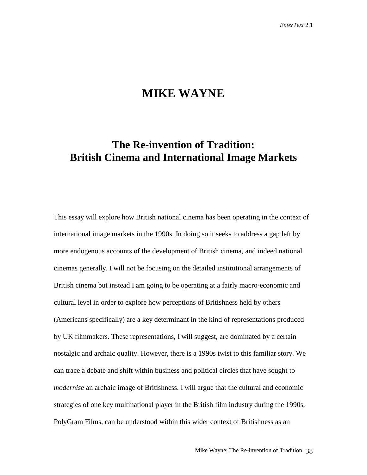# **MIKE WAYNE**

# **The Re-invention of Tradition: British Cinema and International Image Markets**

This essay will explore how British national cinema has been operating in the context of international image markets in the 1990s. In doing so it seeks to address a gap left by more endogenous accounts of the development of British cinema, and indeed national cinemas generally. I will not be focusing on the detailed institutional arrangements of British cinema but instead I am going to be operating at a fairly macro-economic and cultural level in order to explore how perceptions of Britishness held by others (Americans specifically) are a key determinant in the kind of representations produced by UK filmmakers. These representations, I will suggest, are dominated by a certain nostalgic and archaic quality. However, there is a 1990s twist to this familiar story. We can trace a debate and shift within business and political circles that have sought to *modernise* an archaic image of Britishness. I will argue that the cultural and economic strategies of one key multinational player in the British film industry during the 1990s, PolyGram Films, can be understood within this wider context of Britishness as an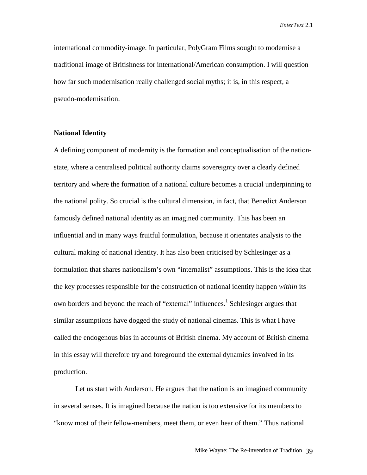international commodity-image. In particular, PolyGram Films sought to modernise a traditional image of Britishness for international/American consumption. I will question how far such modernisation really challenged social myths; it is, in this respect, a pseudo-modernisation.

## **National Identity**

A defining component of modernity is the formation and conceptualisation of the nationstate, where a centralised political authority claims sovereignty over a clearly defined territory and where the formation of a national culture becomes a crucial underpinning to the national polity. So crucial is the cultural dimension, in fact, that Benedict Anderson famously defined national identity as an imagined community. This has been an influential and in many ways fruitful formulation, because it orientates analysis to the cultural making of national identity. It has also been criticised by Schlesinger as a formulation that shares nationalism's own "internalist" assumptions. This is the idea that the key processes responsible for the construction of national identity happen *within* its own borders and beyond the reach of "external" influences.<sup>1</sup> Schlesinger argues that similar assumptions have dogged the study of national cinemas. This is what I have called the endogenous bias in accounts of British cinema. My account of British cinema in this essay will therefore try and foreground the external dynamics involved in its production.

Let us start with Anderson. He argues that the nation is an imagined community in several senses. It is imagined because the nation is too extensive for its members to "know most of their fellow-members, meet them, or even hear of them." Thus national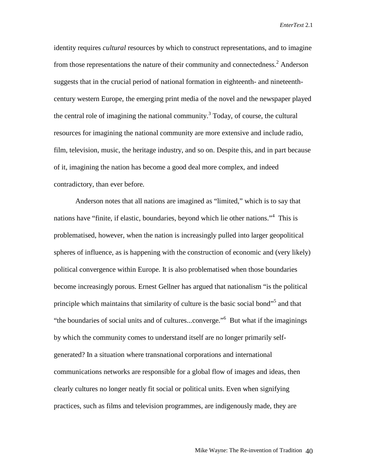identity requires *cultural* resources by which to construct representations, and to imagine from those representations the nature of their community and connectedness.<sup>2</sup> Anderson suggests that in the crucial period of national formation in eighteenth- and nineteenthcentury western Europe, the emerging print media of the novel and the newspaper played the central role of imagining the national community.<sup>3</sup> Today, of course, the cultural resources for imagining the national community are more extensive and include radio, film, television, music, the heritage industry, and so on. Despite this, and in part because of it, imagining the nation has become a good deal more complex, and indeed contradictory, than ever before.

Anderson notes that all nations are imagined as "limited," which is to say that nations have "finite, if elastic, boundaries, beyond which lie other nations."<sup>4</sup> This is problematised, however, when the nation is increasingly pulled into larger geopolitical spheres of influence, as is happening with the construction of economic and (very likely) political convergence within Europe. It is also problematised when those boundaries become increasingly porous. Ernest Gellner has argued that nationalism "is the political principle which maintains that similarity of culture is the basic social bond"<sup>5</sup> and that "the boundaries of social units and of cultures...converge." But what if the imaginings by which the community comes to understand itself are no longer primarily selfgenerated? In a situation where transnational corporations and international communications networks are responsible for a global flow of images and ideas, then clearly cultures no longer neatly fit social or political units. Even when signifying practices, such as films and television programmes, are indigenously made, they are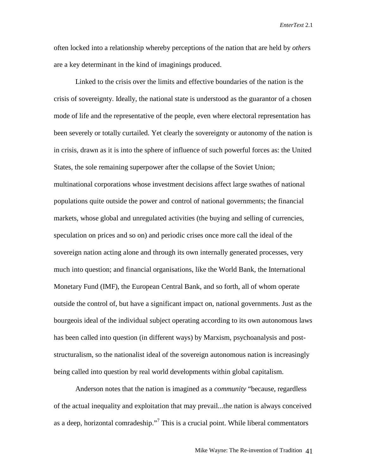often locked into a relationship whereby perceptions of the nation that are held by *other*s are a key determinant in the kind of imaginings produced.

Linked to the crisis over the limits and effective boundaries of the nation is the crisis of sovereignty. Ideally, the national state is understood as the guarantor of a chosen mode of life and the representative of the people, even where electoral representation has been severely or totally curtailed. Yet clearly the sovereignty or autonomy of the nation is in crisis, drawn as it is into the sphere of influence of such powerful forces as: the United States, the sole remaining superpower after the collapse of the Soviet Union; multinational corporations whose investment decisions affect large swathes of national populations quite outside the power and control of national governments; the financial markets, whose global and unregulated activities (the buying and selling of currencies, speculation on prices and so on) and periodic crises once more call the ideal of the sovereign nation acting alone and through its own internally generated processes, very much into question; and financial organisations, like the World Bank, the International Monetary Fund (IMF), the European Central Bank, and so forth, all of whom operate outside the control of, but have a significant impact on, national governments. Just as the bourgeois ideal of the individual subject operating according to its own autonomous laws has been called into question (in different ways) by Marxism, psychoanalysis and poststructuralism, so the nationalist ideal of the sovereign autonomous nation is increasingly being called into question by real world developments within global capitalism.

Anderson notes that the nation is imagined as a *community* "because, regardless of the actual inequality and exploitation that may prevail...the nation is always conceived as a deep, horizontal comradeship."<sup>7</sup> This is a crucial point. While liberal commentators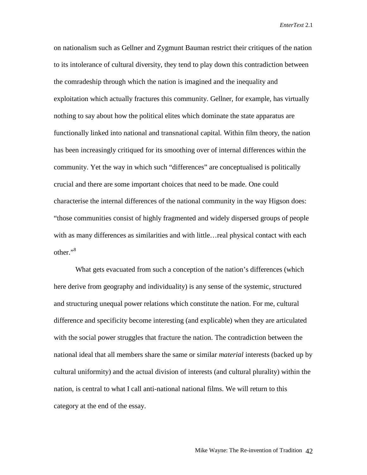on nationalism such as Gellner and Zygmunt Bauman restrict their critiques of the nation to its intolerance of cultural diversity, they tend to play down this contradiction between the comradeship through which the nation is imagined and the inequality and exploitation which actually fractures this community. Gellner, for example, has virtually nothing to say about how the political elites which dominate the state apparatus are functionally linked into national and transnational capital. Within film theory, the nation has been increasingly critiqued for its smoothing over of internal differences within the community. Yet the way in which such "differences" are conceptualised is politically crucial and there are some important choices that need to be made. One could characterise the internal differences of the national community in the way Higson does: "those communities consist of highly fragmented and widely dispersed groups of people with as many differences as similarities and with little... real physical contact with each other $\cdot$ <sup>,8</sup>

What gets evacuated from such a conception of the nation's differences (which here derive from geography and individuality) is any sense of the systemic, structured and structuring unequal power relations which constitute the nation. For me, cultural difference and specificity become interesting (and explicable) when they are articulated with the social power struggles that fracture the nation. The contradiction between the national ideal that all members share the same or similar *material* interests (backed up by cultural uniformity) and the actual division of interests (and cultural plurality) within the nation, is central to what I call anti-national national films. We will return to this category at the end of the essay.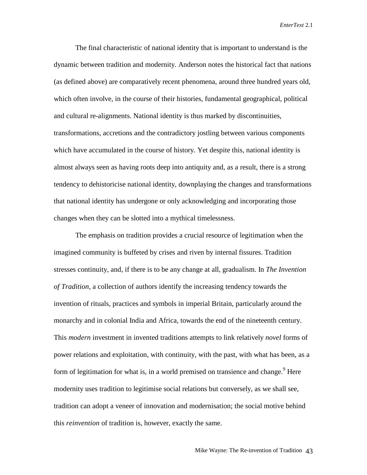The final characteristic of national identity that is important to understand is the dynamic between tradition and modernity. Anderson notes the historical fact that nations (as defined above) are comparatively recent phenomena, around three hundred years old, which often involve, in the course of their histories, fundamental geographical, political and cultural re-alignments. National identity is thus marked by discontinuities, transformations, accretions and the contradictory jostling between various components which have accumulated in the course of history. Yet despite this, national identity is almost always seen as having roots deep into antiquity and, as a result, there is a strong tendency to dehistoricise national identity, downplaying the changes and transformations that national identity has undergone or only acknowledging and incorporating those changes when they can be slotted into a mythical timelessness.

The emphasis on tradition provides a crucial resource of legitimation when the imagined community is buffeted by crises and riven by internal fissures. Tradition stresses continuity, and, if there is to be any change at all, gradualism. In *The Invention of Tradition,* a collection of authors identify the increasing tendency towards the invention of rituals, practices and symbols in imperial Britain, particularly around the monarchy and in colonial India and Africa, towards the end of the nineteenth century. This *modern* investment in invented traditions attempts to link relatively *novel* forms of power relations and exploitation, with continuity, with the past, with what has been, as a form of legitimation for what is, in a world premised on transience and change.<sup>9</sup> Here modernity uses tradition to legitimise social relations but conversely, as we shall see, tradition can adopt a veneer of innovation and modernisation; the social motive behind this *reinvention* of tradition is, however, exactly the same.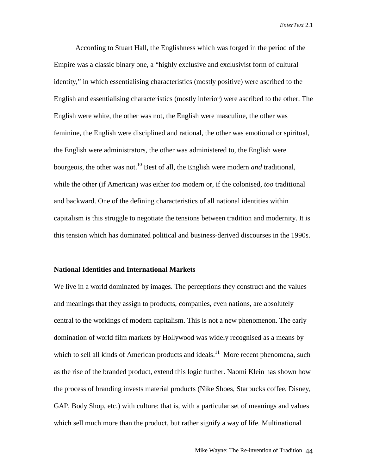According to Stuart Hall, the Englishness which was forged in the period of the Empire was a classic binary one, a "highly exclusive and exclusivist form of cultural identity," in which essentialising characteristics (mostly positive) were ascribed to the English and essentialising characteristics (mostly inferior) were ascribed to the other. The English were white, the other was not, the English were masculine, the other was feminine, the English were disciplined and rational, the other was emotional or spiritual, the English were administrators, the other was administered to, the English were bourgeois, the other was not.10 Best of all, the English were modern *and* traditional, while the other (if American) was either *too* modern or, if the colonised, *too* traditional and backward. One of the defining characteristics of all national identities within capitalism is this struggle to negotiate the tensions between tradition and modernity. It is this tension which has dominated political and business-derived discourses in the 1990s.

#### **National Identities and International Markets**

We live in a world dominated by images. The perceptions they construct and the values and meanings that they assign to products, companies, even nations, are absolutely central to the workings of modern capitalism. This is not a new phenomenon. The early domination of world film markets by Hollywood was widely recognised as a means by which to sell all kinds of American products and ideals.<sup>11</sup> More recent phenomena, such as the rise of the branded product, extend this logic further. Naomi Klein has shown how the process of branding invests material products (Nike Shoes, Starbucks coffee, Disney, GAP, Body Shop, etc.) with culture: that is, with a particular set of meanings and values which sell much more than the product, but rather signify a way of life. Multinational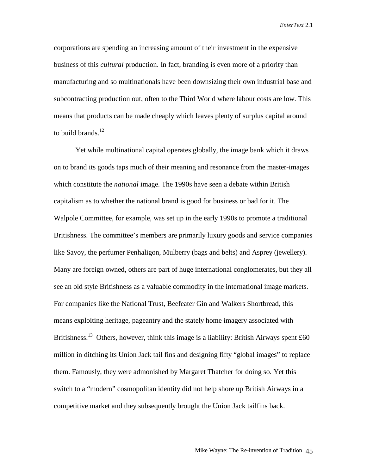corporations are spending an increasing amount of their investment in the expensive business of this *cultural* production. In fact, branding is even more of a priority than manufacturing and so multinationals have been downsizing their own industrial base and subcontracting production out, often to the Third World where labour costs are low. This means that products can be made cheaply which leaves plenty of surplus capital around to build brands. $^{12}$ 

Yet while multinational capital operates globally, the image bank which it draws on to brand its goods taps much of their meaning and resonance from the master-images which constitute the *national* image. The 1990s have seen a debate within British capitalism as to whether the national brand is good for business or bad for it. The Walpole Committee, for example, was set up in the early 1990s to promote a traditional Britishness. The committee's members are primarily luxury goods and service companies like Savoy, the perfumer Penhaligon, Mulberry (bags and belts) and Asprey (jewellery). Many are foreign owned, others are part of huge international conglomerates, but they all see an old style Britishness as a valuable commodity in the international image markets. For companies like the National Trust, Beefeater Gin and Walkers Shortbread, this means exploiting heritage, pageantry and the stately home imagery associated with Britishness.<sup>13</sup> Others, however, think this image is a liability: British Airways spent £60 million in ditching its Union Jack tail fins and designing fifty "global images" to replace them. Famously, they were admonished by Margaret Thatcher for doing so. Yet this switch to a "modern" cosmopolitan identity did not help shore up British Airways in a competitive market and they subsequently brought the Union Jack tailfins back.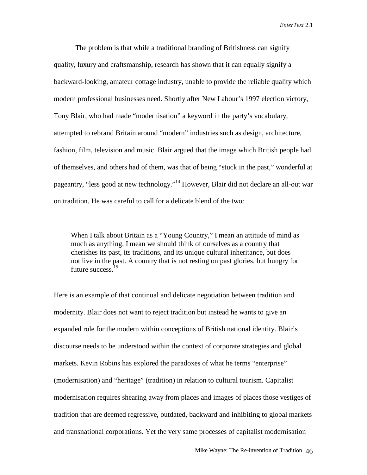The problem is that while a traditional branding of Britishness can signify quality, luxury and craftsmanship, research has shown that it can equally signify a backward-looking, amateur cottage industry, unable to provide the reliable quality which modern professional businesses need. Shortly after New Labour's 1997 election victory, Tony Blair, who had made "modernisation" a keyword in the party's vocabulary, attempted to rebrand Britain around "modern" industries such as design, architecture, fashion, film, television and music. Blair argued that the image which British people had of themselves, and others had of them, was that of being "stuck in the past," wonderful at pageantry, "less good at new technology."14 However, Blair did not declare an all-out war on tradition. He was careful to call for a delicate blend of the two:

When I talk about Britain as a "Young Country," I mean an attitude of mind as much as anything. I mean we should think of ourselves as a country that cherishes its past, its traditions, and its unique cultural inheritance, but does not live in the past. A country that is not resting on past glories, but hungry for future success.<sup>15</sup>

Here is an example of that continual and delicate negotiation between tradition and modernity. Blair does not want to reject tradition but instead he wants to give an expanded role for the modern within conceptions of British national identity. Blair's discourse needs to be understood within the context of corporate strategies and global markets. Kevin Robins has explored the paradoxes of what he terms "enterprise" (modernisation) and "heritage" (tradition) in relation to cultural tourism. Capitalist modernisation requires shearing away from places and images of places those vestiges of tradition that are deemed regressive, outdated, backward and inhibiting to global markets and transnational corporations. Yet the very same processes of capitalist modernisation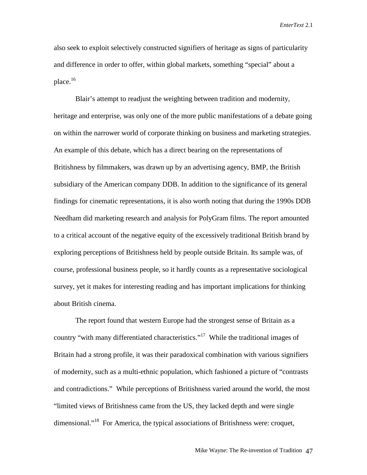also seek to exploit selectively constructed signifiers of heritage as signs of particularity and difference in order to offer, within global markets, something "special" about a place. $16$ 

Blair's attempt to readjust the weighting between tradition and modernity, heritage and enterprise, was only one of the more public manifestations of a debate going on within the narrower world of corporate thinking on business and marketing strategies. An example of this debate, which has a direct bearing on the representations of Britishness by filmmakers, was drawn up by an advertising agency, BMP, the British subsidiary of the American company DDB. In addition to the significance of its general findings for cinematic representations, it is also worth noting that during the 1990s DDB Needham did marketing research and analysis for PolyGram films. The report amounted to a critical account of the negative equity of the excessively traditional British brand by exploring perceptions of Britishness held by people outside Britain. Its sample was, of course, professional business people, so it hardly counts as a representative sociological survey, yet it makes for interesting reading and has important implications for thinking about British cinema.

The report found that western Europe had the strongest sense of Britain as a country "with many differentiated characteristics."<sup>17</sup> While the traditional images of Britain had a strong profile, it was their paradoxical combination with various signifiers of modernity, such as a multi-ethnic population, which fashioned a picture of "contrasts and contradictions." While perceptions of Britishness varied around the world, the most "limited views of Britishness came from the US, they lacked depth and were single dimensional."<sup>18</sup> For America, the typical associations of Britishness were: croquet,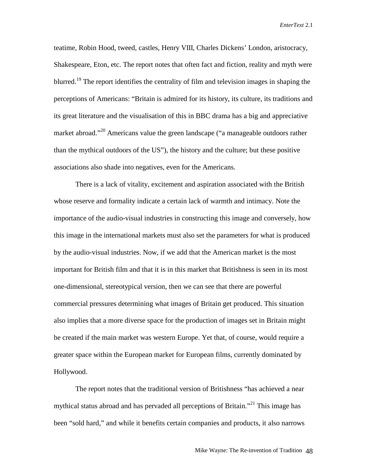teatime, Robin Hood, tweed, castles, Henry VIII, Charles Dickens' London, aristocracy, Shakespeare, Eton, etc. The report notes that often fact and fiction, reality and myth were blurred.<sup>19</sup> The report identifies the centrality of film and television images in shaping the perceptions of Americans: "Britain is admired for its history, its culture, its traditions and its great literature and the visualisation of this in BBC drama has a big and appreciative market abroad."<sup>20</sup> Americans value the green landscape ("a manageable outdoors rather than the mythical outdoors of the US"), the history and the culture; but these positive associations also shade into negatives, even for the Americans.

There is a lack of vitality, excitement and aspiration associated with the British whose reserve and formality indicate a certain lack of warmth and intimacy. Note the importance of the audio-visual industries in constructing this image and conversely, how this image in the international markets must also set the parameters for what is produced by the audio-visual industries. Now, if we add that the American market is the most important for British film and that it is in this market that Britishness is seen in its most one-dimensional, stereotypical version, then we can see that there are powerful commercial pressures determining what images of Britain get produced. This situation also implies that a more diverse space for the production of images set in Britain might be created if the main market was western Europe. Yet that, of course, would require a greater space within the European market for European films, currently dominated by Hollywood.

The report notes that the traditional version of Britishness "has achieved a near mythical status abroad and has pervaded all perceptions of Britain.<sup>"21</sup> This image has been "sold hard," and while it benefits certain companies and products, it also narrows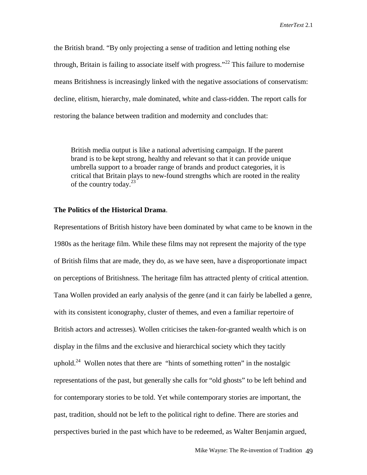the British brand. "By only projecting a sense of tradition and letting nothing else through, Britain is failing to associate itself with progress.<sup> $22$ </sup> This failure to modernise means Britishness is increasingly linked with the negative associations of conservatism: decline, elitism, hierarchy, male dominated, white and class-ridden. The report calls for restoring the balance between tradition and modernity and concludes that:

British media output is like a national advertising campaign. If the parent brand is to be kept strong, healthy and relevant so that it can provide unique umbrella support to a broader range of brands and product categories, it is critical that Britain plays to new-found strengths which are rooted in the reality of the country today. $^{23}$ 

#### **The Politics of the Historical Drama**.

Representations of British history have been dominated by what came to be known in the 1980s as the heritage film. While these films may not represent the majority of the type of British films that are made, they do, as we have seen, have a disproportionate impact on perceptions of Britishness. The heritage film has attracted plenty of critical attention. Tana Wollen provided an early analysis of the genre (and it can fairly be labelled a genre, with its consistent iconography, cluster of themes, and even a familiar repertoire of British actors and actresses). Wollen criticises the taken-for-granted wealth which is on display in the films and the exclusive and hierarchical society which they tacitly uphold.<sup>24</sup> Wollen notes that there are "hints of something rotten" in the nostalgic representations of the past, but generally she calls for "old ghosts" to be left behind and for contemporary stories to be told. Yet while contemporary stories are important, the past, tradition, should not be left to the political right to define. There are stories and perspectives buried in the past which have to be redeemed, as Walter Benjamin argued,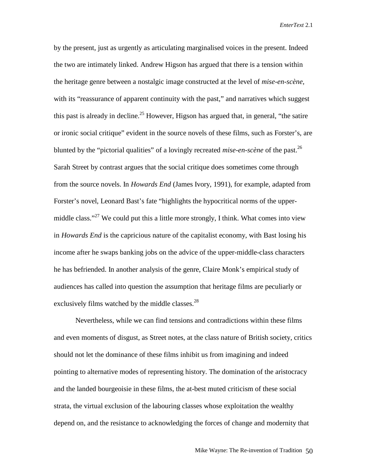by the present, just as urgently as articulating marginalised voices in the present. Indeed the two are intimately linked. Andrew Higson has argued that there is a tension within the heritage genre between a nostalgic image constructed at the level of *mise-en-scène,* with its "reassurance of apparent continuity with the past," and narratives which suggest this past is already in decline.<sup>25</sup> However, Higson has argued that, in general, "the satire" or ironic social critique" evident in the source novels of these films, such as Forster's, are blunted by the "pictorial qualities" of a lovingly recreated *mise-en-scène* of the past.<sup>26</sup> Sarah Street by contrast argues that the social critique does sometimes come through from the source novels. In *Howards End* (James Ivory, 1991), for example, adapted from Forster's novel, Leonard Bast's fate "highlights the hypocritical norms of the uppermiddle class."<sup>27</sup> We could put this a little more strongly, I think. What comes into view in *Howards End* is the capricious nature of the capitalist economy, with Bast losing his income after he swaps banking jobs on the advice of the upper-middle-class characters he has befriended. In another analysis of the genre, Claire Monk's empirical study of audiences has called into question the assumption that heritage films are peculiarly or exclusively films watched by the middle classes. $28$ 

Nevertheless, while we can find tensions and contradictions within these films and even moments of disgust, as Street notes, at the class nature of British society, critics should not let the dominance of these films inhibit us from imagining and indeed pointing to alternative modes of representing history. The domination of the aristocracy and the landed bourgeoisie in these films, the at-best muted criticism of these social strata, the virtual exclusion of the labouring classes whose exploitation the wealthy depend on, and the resistance to acknowledging the forces of change and modernity that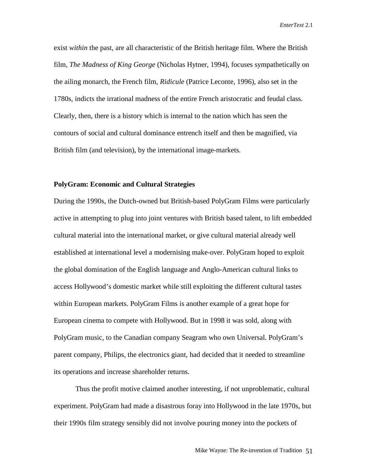exist *within* the past, are all characteristic of the British heritage film. Where the British film, *The Madness of King George* (Nicholas Hytner, 1994), focuses sympathetically on the ailing monarch, the French film, *Ridicule* (Patrice Leconte, 1996), also set in the 1780s, indicts the irrational madness of the entire French aristocratic and feudal class. Clearly, then, there is a history which is internal to the nation which has seen the contours of social and cultural dominance entrench itself and then be magnified, via British film (and television), by the international image-markets.

# **PolyGram: Economic and Cultural Strategies**

During the 1990s, the Dutch-owned but British-based PolyGram Films were particularly active in attempting to plug into joint ventures with British based talent, to lift embedded cultural material into the international market, or give cultural material already well established at international level a modernising make-over. PolyGram hoped to exploit the global domination of the English language and Anglo-American cultural links to access Hollywood's domestic market while still exploiting the different cultural tastes within European markets. PolyGram Films is another example of a great hope for European cinema to compete with Hollywood. But in 1998 it was sold, along with PolyGram music, to the Canadian company Seagram who own Universal. PolyGram's parent company, Philips, the electronics giant, had decided that it needed to streamline its operations and increase shareholder returns.

Thus the profit motive claimed another interesting, if not unproblematic, cultural experiment. PolyGram had made a disastrous foray into Hollywood in the late 1970s, but their 1990s film strategy sensibly did not involve pouring money into the pockets of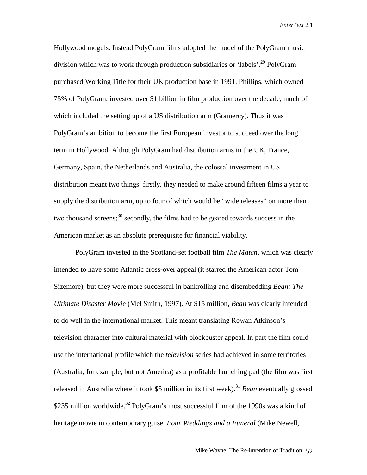Hollywood moguls. Instead PolyGram films adopted the model of the PolyGram music division which was to work through production subsidiaries or 'labels'.<sup>29</sup> PolyGram purchased Working Title for their UK production base in 1991. Phillips, which owned 75% of PolyGram, invested over \$1 billion in film production over the decade, much of which included the setting up of a US distribution arm (Gramercy). Thus it was PolyGram's ambition to become the first European investor to succeed over the long term in Hollywood. Although PolyGram had distribution arms in the UK, France, Germany, Spain, the Netherlands and Australia, the colossal investment in US distribution meant two things: firstly, they needed to make around fifteen films a year to supply the distribution arm, up to four of which would be "wide releases" on more than two thousand screens;<sup>30</sup> secondly, the films had to be geared towards success in the American market as an absolute prerequisite for financial viability.

PolyGram invested in the Scotland-set football film *The Match*, which was clearly intended to have some Atlantic cross-over appeal (it starred the American actor Tom Sizemore), but they were more successful in bankrolling and disembedding *Bean: The Ultimate Disaster Movie* (Mel Smith, 1997). At \$15 million, *Bean* was clearly intended to do well in the international market. This meant translating Rowan Atkinson's television character into cultural material with blockbuster appeal. In part the film could use the international profile which the *television* series had achieved in some territories (Australia, for example, but not America) as a profitable launching pad (the film was first released in Australia where it took \$5 million in its first week).<sup>31</sup> *Bean* eventually grossed \$235 million worldwide.<sup>32</sup> PolyGram's most successful film of the 1990s was a kind of heritage movie in contemporary guise. *Four Weddings and a Funeral* (Mike Newell,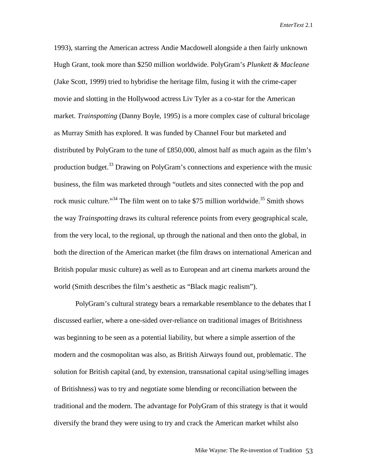1993), starring the American actress Andie Macdowell alongside a then fairly unknown Hugh Grant, took more than \$250 million worldwide. PolyGram's *Plunkett & Macleane* (Jake Scott, 1999) tried to hybridise the heritage film, fusing it with the crime-caper movie and slotting in the Hollywood actress Liv Tyler as a co-star for the American market. *Trainspotting* (Danny Boyle, 1995) is a more complex case of cultural bricolage as Murray Smith has explored. It was funded by Channel Four but marketed and distributed by PolyGram to the tune of £850,000, almost half as much again as the film's production budget.<sup>33</sup> Drawing on PolyGram's connections and experience with the music business, the film was marketed through "outlets and sites connected with the pop and rock music culture."<sup>34</sup> The film went on to take \$75 million worldwide.<sup>35</sup> Smith shows the way *Trainspotting* draws its cultural reference points from every geographical scale, from the very local, to the regional, up through the national and then onto the global, in both the direction of the American market (the film draws on international American and British popular music culture) as well as to European and art cinema markets around the world (Smith describes the film's aesthetic as "Black magic realism").

PolyGram's cultural strategy bears a remarkable resemblance to the debates that I discussed earlier, where a one-sided over-reliance on traditional images of Britishness was beginning to be seen as a potential liability, but where a simple assertion of the modern and the cosmopolitan was also, as British Airways found out, problematic. The solution for British capital (and, by extension, transnational capital using/selling images of Britishness) was to try and negotiate some blending or reconciliation between the traditional and the modern. The advantage for PolyGram of this strategy is that it would diversify the brand they were using to try and crack the American market whilst also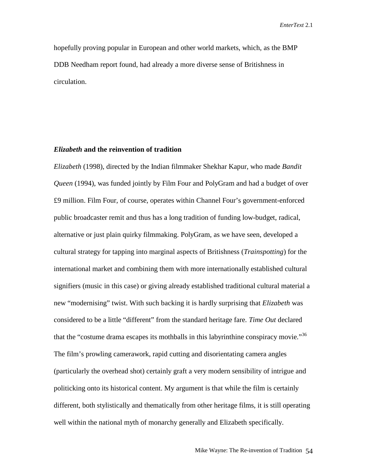hopefully proving popular in European and other world markets, which, as the BMP DDB Needham report found, had already a more diverse sense of Britishness in circulation.

# *Elizabeth* **and the reinvention of tradition**

*Elizabeth* (1998), directed by the Indian filmmaker Shekhar Kapur, who made *Bandit Queen* (1994), was funded jointly by Film Four and PolyGram and had a budget of over £9 million. Film Four, of course, operates within Channel Four's government-enforced public broadcaster remit and thus has a long tradition of funding low-budget, radical, alternative or just plain quirky filmmaking. PolyGram, as we have seen, developed a cultural strategy for tapping into marginal aspects of Britishness (*Trainspotting*) for the international market and combining them with more internationally established cultural signifiers (music in this case) or giving already established traditional cultural material a new "modernising" twist. With such backing it is hardly surprising that *Elizabeth* was considered to be a little "different" from the standard heritage fare. *Time Out* declared that the "costume drama escapes its mothballs in this labyrinthine conspiracy movie."<sup>36</sup> The film's prowling camerawork, rapid cutting and disorientating camera angles (particularly the overhead shot) certainly graft a very modern sensibility of intrigue and politicking onto its historical content. My argument is that while the film is certainly different, both stylistically and thematically from other heritage films, it is still operating well within the national myth of monarchy generally and Elizabeth specifically.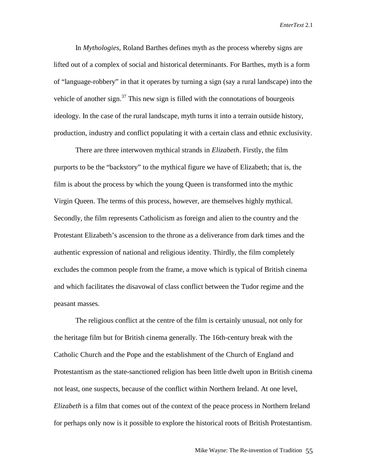In *Mythologies,* Roland Barthes defines myth as the process whereby signs are lifted out of a complex of social and historical determinants. For Barthes, myth is a form of "language-robbery" in that it operates by turning a sign (say a rural landscape) into the vehicle of another sign. $37$  This new sign is filled with the connotations of bourgeois ideology. In the case of the rural landscape, myth turns it into a terrain outside history, production, industry and conflict populating it with a certain class and ethnic exclusivity.

There are three interwoven mythical strands in *Elizabeth*. Firstly, the film purports to be the "backstory" to the mythical figure we have of Elizabeth; that is, the film is about the process by which the young Queen is transformed into the mythic Virgin Queen. The terms of this process, however, are themselves highly mythical. Secondly, the film represents Catholicism as foreign and alien to the country and the Protestant Elizabeth's ascension to the throne as a deliverance from dark times and the authentic expression of national and religious identity. Thirdly, the film completely excludes the common people from the frame, a move which is typical of British cinema and which facilitates the disavowal of class conflict between the Tudor regime and the peasant masses.

The religious conflict at the centre of the film is certainly unusual, not only for the heritage film but for British cinema generally. The 16th-century break with the Catholic Church and the Pope and the establishment of the Church of England and Protestantism as the state-sanctioned religion has been little dwelt upon in British cinema not least, one suspects, because of the conflict within Northern Ireland. At one level, *Elizabeth* is a film that comes out of the context of the peace process in Northern Ireland for perhaps only now is it possible to explore the historical roots of British Protestantism.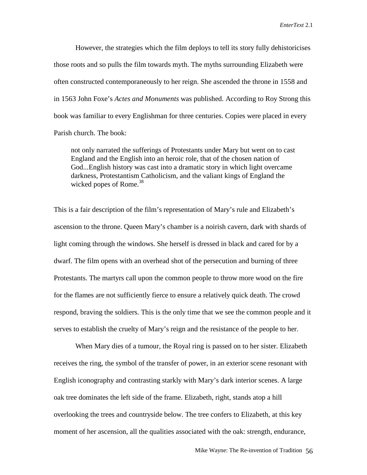However, the strategies which the film deploys to tell its story fully dehistoricises those roots and so pulls the film towards myth. The myths surrounding Elizabeth were often constructed contemporaneously to her reign. She ascended the throne in 1558 and in 1563 John Foxe's *Actes and Monuments* was published. According to Roy Strong this book was familiar to every Englishman for three centuries. Copies were placed in every Parish church. The book:

not only narrated the sufferings of Protestants under Mary but went on to cast England and the English into an heroic role, that of the chosen nation of God...English history was cast into a dramatic story in which light overcame darkness, Protestantism Catholicism, and the valiant kings of England the wicked popes of Rome. $38$ 

This is a fair description of the film's representation of Mary's rule and Elizabeth's ascension to the throne. Queen Mary's chamber is a noirish cavern, dark with shards of light coming through the windows. She herself is dressed in black and cared for by a dwarf. The film opens with an overhead shot of the persecution and burning of three Protestants. The martyrs call upon the common people to throw more wood on the fire for the flames are not sufficiently fierce to ensure a relatively quick death. The crowd respond, braving the soldiers. This is the only time that we see the common people and it serves to establish the cruelty of Mary's reign and the resistance of the people to her.

When Mary dies of a tumour, the Royal ring is passed on to her sister. Elizabeth receives the ring, the symbol of the transfer of power, in an exterior scene resonant with English iconography and contrasting starkly with Mary's dark interior scenes. A large oak tree dominates the left side of the frame. Elizabeth, right, stands atop a hill overlooking the trees and countryside below. The tree confers to Elizabeth, at this key moment of her ascension, all the qualities associated with the oak: strength, endurance,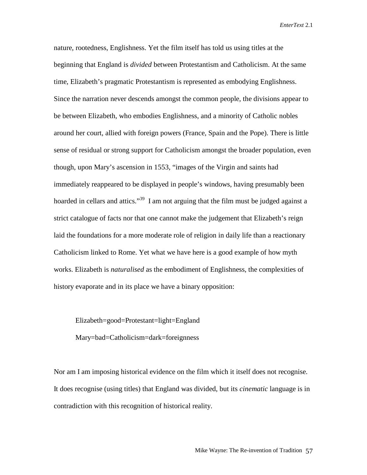nature, rootedness, Englishness. Yet the film itself has told us using titles at the beginning that England is *divided* between Protestantism and Catholicism. At the same time, Elizabeth's pragmatic Protestantism is represented as embodying Englishness. Since the narration never descends amongst the common people, the divisions appear to be between Elizabeth, who embodies Englishness, and a minority of Catholic nobles around her court, allied with foreign powers (France, Spain and the Pope). There is little sense of residual or strong support for Catholicism amongst the broader population, even though, upon Mary's ascension in 1553, "images of the Virgin and saints had immediately reappeared to be displayed in people's windows, having presumably been hoarded in cellars and attics."<sup>39</sup> I am not arguing that the film must be judged against a strict catalogue of facts nor that one cannot make the judgement that Elizabeth's reign laid the foundations for a more moderate role of religion in daily life than a reactionary Catholicism linked to Rome. Yet what we have here is a good example of how myth works. Elizabeth is *naturalised* as the embodiment of Englishness, the complexities of history evaporate and in its place we have a binary opposition:

Elizabeth=good=Protestant=light=England

Mary=bad=Catholicism=dark=foreignness

Nor am I am imposing historical evidence on the film which it itself does not recognise. It does recognise (using titles) that England was divided, but its *cinematic* language is in contradiction with this recognition of historical reality.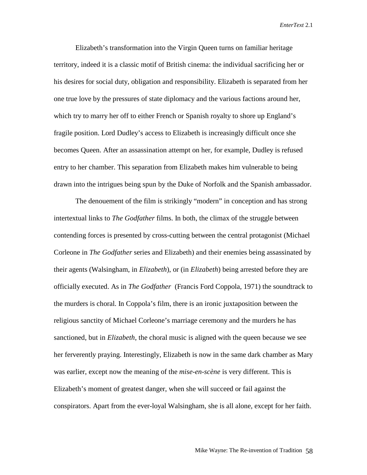Elizabeth's transformation into the Virgin Queen turns on familiar heritage territory, indeed it is a classic motif of British cinema: the individual sacrificing her or his desires for social duty, obligation and responsibility. Elizabeth is separated from her one true love by the pressures of state diplomacy and the various factions around her, which try to marry her off to either French or Spanish royalty to shore up England's fragile position. Lord Dudley's access to Elizabeth is increasingly difficult once she becomes Queen. After an assassination attempt on her, for example, Dudley is refused entry to her chamber. This separation from Elizabeth makes him vulnerable to being drawn into the intrigues being spun by the Duke of Norfolk and the Spanish ambassador.

The denouement of the film is strikingly "modern" in conception and has strong intertextual links to *The Godfather* films. In both, the climax of the struggle between contending forces is presented by cross-cutting between the central protagonist (Michael Corleone in *The Godfather* series and Elizabeth) and their enemies being assassinated by their agents (Walsingham, in *Elizabeth*), or (in *Elizabeth*) being arrested before they are officially executed. As in *The Godfather* (Francis Ford Coppola, 1971) the soundtrack to the murders is choral. In Coppola's film, there is an ironic juxtaposition between the religious sanctity of Michael Corleone's marriage ceremony and the murders he has sanctioned, but in *Elizabeth*, the choral music is aligned with the queen because we see her ferverently praying. Interestingly, Elizabeth is now in the same dark chamber as Mary was earlier, except now the meaning of the *mise-en-scène* is very different. This is Elizabeth's moment of greatest danger, when she will succeed or fail against the conspirators. Apart from the ever-loyal Walsingham, she is all alone, except for her faith.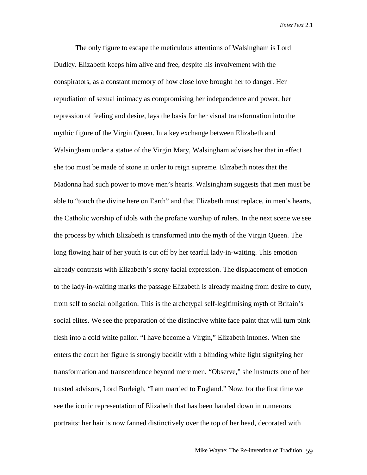The only figure to escape the meticulous attentions of Walsingham is Lord Dudley. Elizabeth keeps him alive and free, despite his involvement with the conspirators, as a constant memory of how close love brought her to danger. Her repudiation of sexual intimacy as compromising her independence and power, her repression of feeling and desire, lays the basis for her visual transformation into the mythic figure of the Virgin Queen. In a key exchange between Elizabeth and Walsingham under a statue of the Virgin Mary, Walsingham advises her that in effect she too must be made of stone in order to reign supreme. Elizabeth notes that the Madonna had such power to move men's hearts. Walsingham suggests that men must be able to "touch the divine here on Earth" and that Elizabeth must replace, in men's hearts, the Catholic worship of idols with the profane worship of rulers. In the next scene we see the process by which Elizabeth is transformed into the myth of the Virgin Queen. The long flowing hair of her youth is cut off by her tearful lady-in-waiting. This emotion already contrasts with Elizabeth's stony facial expression. The displacement of emotion to the lady-in-waiting marks the passage Elizabeth is already making from desire to duty, from self to social obligation. This is the archetypal self-legitimising myth of Britain's social elites. We see the preparation of the distinctive white face paint that will turn pink flesh into a cold white pallor. "I have become a Virgin," Elizabeth intones. When she enters the court her figure is strongly backlit with a blinding white light signifying her transformation and transcendence beyond mere men. "Observe," she instructs one of her trusted advisors, Lord Burleigh, "I am married to England." Now, for the first time we see the iconic representation of Elizabeth that has been handed down in numerous portraits: her hair is now fanned distinctively over the top of her head, decorated with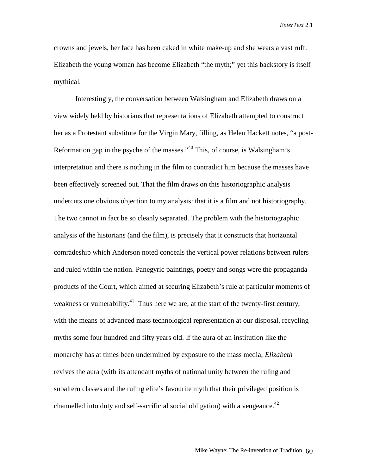crowns and jewels, her face has been caked in white make-up and she wears a vast ruff. Elizabeth the young woman has become Elizabeth "the myth;" yet this backstory is itself mythical.

Interestingly, the conversation between Walsingham and Elizabeth draws on a view widely held by historians that representations of Elizabeth attempted to construct her as a Protestant substitute for the Virgin Mary, filling, as Helen Hackett notes, "a post-Reformation gap in the psyche of the masses."40 This, of course, is Walsingham's interpretation and there is nothing in the film to contradict him because the masses have been effectively screened out. That the film draws on this historiographic analysis undercuts one obvious objection to my analysis: that it is a film and not historiography. The two cannot in fact be so cleanly separated. The problem with the historiographic analysis of the historians (and the film), is precisely that it constructs that horizontal comradeship which Anderson noted conceals the vertical power relations between rulers and ruled within the nation. Panegyric paintings, poetry and songs were the propaganda products of the Court, which aimed at securing Elizabeth's rule at particular moments of weakness or vulnerability.<sup>41</sup> Thus here we are, at the start of the twenty-first century, with the means of advanced mass technological representation at our disposal, recycling myths some four hundred and fifty years old. If the aura of an institution like the monarchy has at times been undermined by exposure to the mass media, *Elizabeth* revives the aura (with its attendant myths of national unity between the ruling and subaltern classes and the ruling elite's favourite myth that their privileged position is channelled into duty and self-sacrificial social obligation) with a vengeance.<sup>42</sup>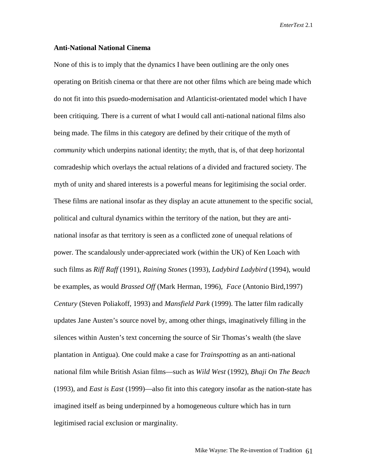#### **Anti-National National Cinema**

None of this is to imply that the dynamics I have been outlining are the only ones operating on British cinema or that there are not other films which are being made which do not fit into this psuedo-modernisation and Atlanticist-orientated model which I have been critiquing. There is a current of what I would call anti-national national films also being made. The films in this category are defined by their critique of the myth of *community* which underpins national identity; the myth, that is, of that deep horizontal comradeship which overlays the actual relations of a divided and fractured society. The myth of unity and shared interests is a powerful means for legitimising the social order. These films are national insofar as they display an acute attunement to the specific social, political and cultural dynamics within the territory of the nation, but they are antinational insofar as that territory is seen as a conflicted zone of unequal relations of power. The scandalously under-appreciated work (within the UK) of Ken Loach with such films as *Riff Raff* (1991), *Raining Stones* (1993), *Ladybird Ladybird* (1994), would be examples, as would *Brassed Off* (Mark Herman, 1996), *Face* (Antonio Bird,1997) *Century* (Steven Poliakoff, 1993) and *Mansfield Park* (1999). The latter film radically updates Jane Austen's source novel by, among other things, imaginatively filling in the silences within Austen's text concerning the source of Sir Thomas's wealth (the slave plantation in Antigua). One could make a case for *Trainspotting* as an anti-national national film while British Asian films—such as *Wild West* (1992), *Bhaji On The Beach* (1993), and *East is East* (1999)—also fit into this category insofar as the nation-state has imagined itself as being underpinned by a homogeneous culture which has in turn legitimised racial exclusion or marginality.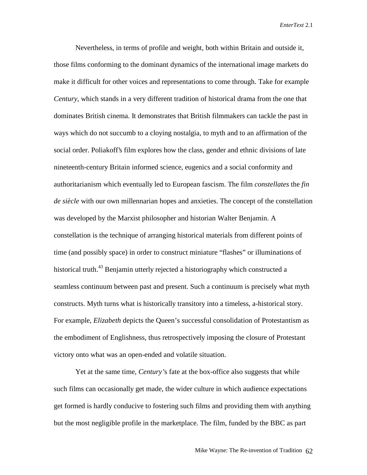Nevertheless, in terms of profile and weight, both within Britain and outside it, those films conforming to the dominant dynamics of the international image markets do make it difficult for other voices and representations to come through. Take for example *Century*, which stands in a very different tradition of historical drama from the one that dominates British cinema. It demonstrates that British filmmakers can tackle the past in ways which do not succumb to a cloying nostalgia, to myth and to an affirmation of the social order. Poliakoff's film explores how the class, gender and ethnic divisions of late nineteenth-century Britain informed science, eugenics and a social conformity and authoritarianism which eventually led to European fascism. The film *constellates* the *fin de siècle* with our own millennarian hopes and anxieties. The concept of the constellation was developed by the Marxist philosopher and historian Walter Benjamin. A constellation is the technique of arranging historical materials from different points of time (and possibly space) in order to construct miniature "flashes" or illuminations of historical truth.<sup>43</sup> Benjamin utterly rejected a historiography which constructed a seamless continuum between past and present. Such a continuum is precisely what myth constructs. Myth turns what is historically transitory into a timeless, a-historical story. For example, *Elizabeth* depicts the Queen's successful consolidation of Protestantism as the embodiment of Englishness, thus retrospectively imposing the closure of Protestant victory onto what was an open-ended and volatile situation.

Yet at the same time, *Century'*s fate at the box-office also suggests that while such films can occasionally get made, the wider culture in which audience expectations get formed is hardly conducive to fostering such films and providing them with anything but the most negligible profile in the marketplace. The film, funded by the BBC as part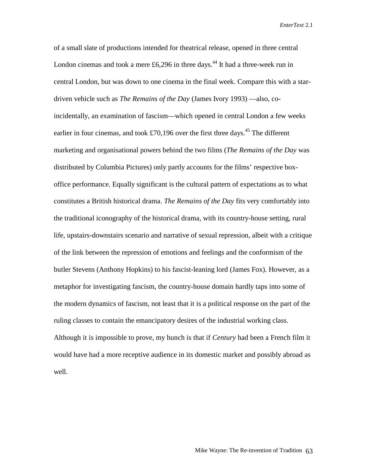of a small slate of productions intended for theatrical release, opened in three central London cinemas and took a mere £6,296 in three days.<sup>44</sup> It had a three-week run in central London, but was down to one cinema in the final week. Compare this with a stardriven vehicle such as *The Remains of the Day* (James Ivory 1993) —also, coincidentally, an examination of fascism—which opened in central London a few weeks earlier in four cinemas, and took £70,196 over the first three days.<sup>45</sup> The different marketing and organisational powers behind the two films (*The Remains of the Day* was distributed by Columbia Pictures) only partly accounts for the films' respective boxoffice performance. Equally significant is the cultural pattern of expectations as to what constitutes a British historical drama. *The Remains of the Day* fits very comfortably into the traditional iconography of the historical drama, with its country-house setting, rural life, upstairs-downstairs scenario and narrative of sexual repression, albeit with a critique of the link between the repression of emotions and feelings and the conformism of the butler Stevens (Anthony Hopkins) to his fascist-leaning lord (James Fox). However, as a metaphor for investigating fascism, the country-house domain hardly taps into some of the modern dynamics of fascism, not least that it is a political response on the part of the ruling classes to contain the emancipatory desires of the industrial working class. Although it is impossible to prove, my hunch is that if *Century* had been a French film it would have had a more receptive audience in its domestic market and possibly abroad as well.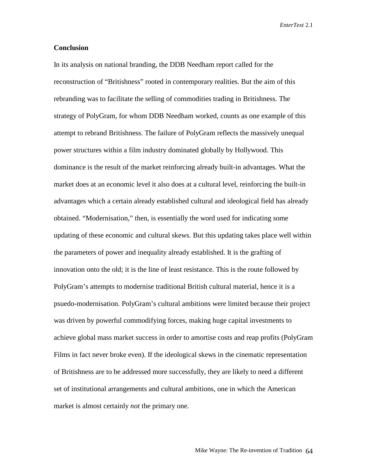#### **Conclusion**

In its analysis on national branding, the DDB Needham report called for the reconstruction of "Britishness" rooted in contemporary realities. But the aim of this rebranding was to facilitate the selling of commodities trading in Britishness. The strategy of PolyGram, for whom DDB Needham worked, counts as one example of this attempt to rebrand Britishness. The failure of PolyGram reflects the massively unequal power structures within a film industry dominated globally by Hollywood. This dominance is the result of the market reinforcing already built-in advantages. What the market does at an economic level it also does at a cultural level, reinforcing the built-in advantages which a certain already established cultural and ideological field has already obtained. "Modernisation," then, is essentially the word used for indicating some updating of these economic and cultural skews. But this updating takes place well within the parameters of power and inequality already established. It is the grafting of innovation onto the old; it is the line of least resistance. This is the route followed by PolyGram's attempts to modernise traditional British cultural material, hence it is a psuedo-modernisation. PolyGram's cultural ambitions were limited because their project was driven by powerful commodifying forces, making huge capital investments to achieve global mass market success in order to amortise costs and reap profits (PolyGram Films in fact never broke even). If the ideological skews in the cinematic representation of Britishness are to be addressed more successfully, they are likely to need a different set of institutional arrangements and cultural ambitions, one in which the American market is almost certainly *not* the primary one.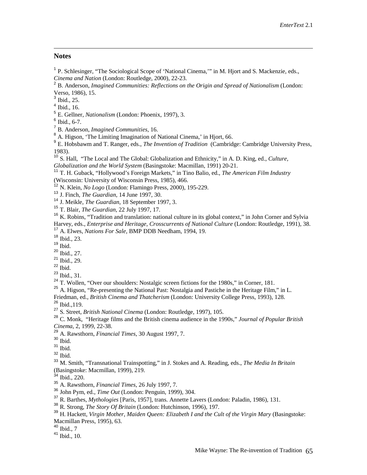## **Notes**

 $\overline{a}$ 

<sup>1</sup> P. Schlesinger, "The Sociological Scope of 'National Cinema,'" in M. Hjort and S. Mackenzie, eds., *Cinema and Nation* (London: Routledge, 2000), 22-23.

<sup>2</sup> B. Anderson, *Imagined Communities: Reflections on the Origin and Spread of Nationalism* (London: Verso, 1986), 15.

<sup>3</sup> Ibid., 25.

 $<sup>4</sup>$  Ibid., 16.</sup>

<sup>5</sup> E. Gellner, *Nationalism* (London: Phoenix, 1997), 3.

<sup>7</sup> B. Anderson, *Imagined Communities*, 16.

<sup>8</sup> A. Higson, 'The Limiting Imagination of National Cinema,' in Hjort, 66.

<sup>9</sup> E. Hobsbawm and T. Ranger, eds., *The Invention of Tradition* (Cambridge: Cambridge University Press, 1983).

<sup>10</sup> S. Hall, "The Local and The Global: Globalization and Ethnicity," in A. D. King, ed., *Culture, Globalization and the World System* (Basingstoke: Macmillan, 1991) 20-21.

<sup>11</sup> T. H. Guback, "Hollywood's Foreign Markets," in Tino Balio, ed., *The American Film Industry*

(Wisconsin: University of Wisconsin Press, 1985), 466.

<sup>12</sup> N. Klein, *No Logo* (London: Flamingo Press, 2000), 195-229.

<sup>13</sup> J. Finch, *The Guardian*, 14 June 1997, 30.

<sup>14</sup> J. Meikle, *The Guardian*, 18 September 1997, 3.

<sup>15</sup> T. Blair, *The Guardian*, 22 July 1997, 17.

<sup>16</sup> K. Robins, "Tradition and translation: national culture in its global context," in John Corner and Sylvia Harvey, eds., *Enterprise and Heritage, Crosscurrents of National Culture* (London: Routledge, 1991), 38.

<sup>17</sup> A. Elwes, *Nations For Sale*, BMP DDB Needham, 1994, 19.

<sup>18</sup> Ibid., 23.

 $19$  Ibid.

<sup>20</sup> Ibid., 27.

 $^{21}$  Ibid., 29.

 $22$  Ibid.

 $^{23}$  Ibid., 31.

<sup>24</sup> T. Wollen, "Over our shoulders: Nostalgic screen fictions for the 1980s," in Corner, 181.

<sup>25</sup> A. Higson, "Re-presenting the National Past: Nostalgia and Pastiche in the Heritage Film," in L.

Friedman, ed., *British Cinema and Thatcherism* (London: University College Press, 1993), 128.

 $\frac{26}{1}$  Ibid., 119.

<sup>27</sup> S. Street, *British National Cinema* (London: Routledge, 1997), 105.

<sup>28</sup> C. Monk, "Heritage films and the British cinema audience in the 1990s," *Journal of Popular British Cinema*, 2, 1999, 22-38.

<sup>29</sup> A. Rawsthorn, *Financial Times*, 30 August 1997, 7.

 $^{\rm 30}$  Ibid.

 $^{31}$  Ibid.

 $32$  Ibid.

<sup>33</sup> M. Smith, "Transnational Trainspotting," in J. Stokes and A. Reading, eds., *The Media In Britain* (Basingstoke: Macmillan, 1999), 219.

<sup>35</sup> A. Rawsthorn, *Financial Times*, 26 July 1997, 7.

<sup>36</sup> John Pym, ed., *Time Out* (London: Penguin, 1999), 304.

<sup>37</sup> R. Barthes, *Mythologies* [Paris, 1957], trans. Annette Lavers (London: Paladin, 1986), 131.

<sup>38</sup> R. Strong, *The Story Of Britain* (London: Hutchinson, 1996), 197.

<sup>39</sup> H. Hackett, *Virgin Mother, Maiden Queen: Elizabeth I and the Cult of the Virgin Mary* (Basingstoke:

Macmillan Press, 1995), 63.

 $40$  Ibid., 7

 $41$  Ibid., 10.

 $34$  Ibid., 220.